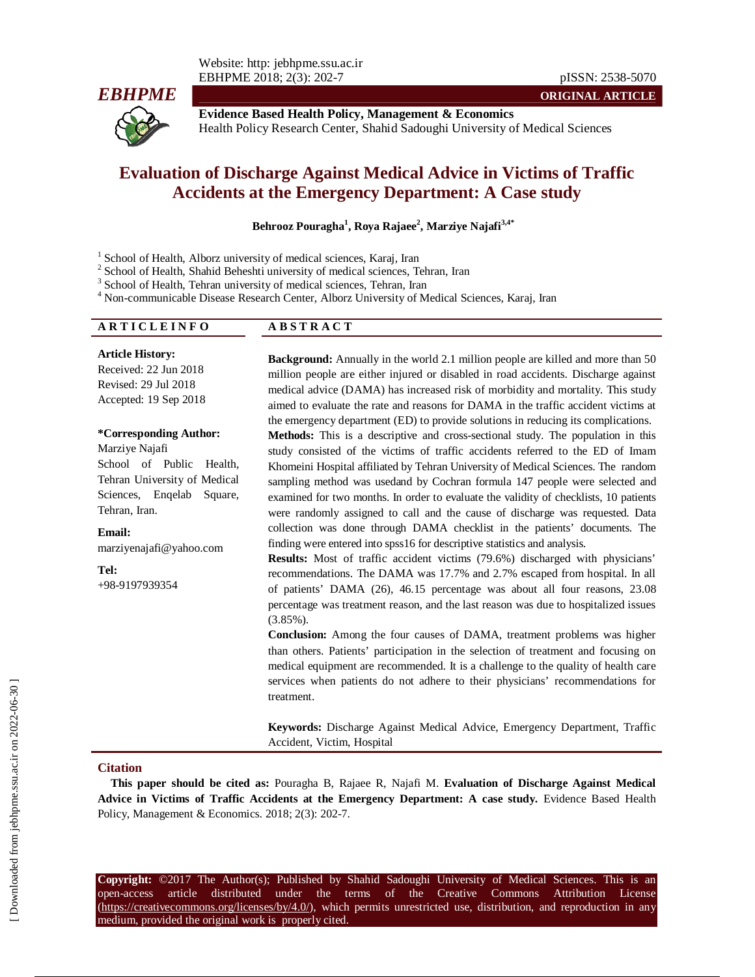Website: http: jebhpme.ssu.ac.ir EBHPME 2018; 2(3): 202-7 pISSN: 2538-5070



**Evidence Based Health Policy, Management & Economics** Health Policy Research Center, Shahid Sadoughi University of Medical Sciences

# **Evaluation of Discharge Against Medical Advice in Victims of Traffic Accidents at the Emergency Department: A Case study**

**Behrooz Pouragha<sup>1</sup> , Roya Rajaee<sup>2</sup> , Marziye Najafi3,4\***

<sup>1</sup> School of Health, Alborz university of medical sciences, Karaj, Iran

<sup>2</sup> School of Health, Shahid Beheshti university of medical sciences, Tehran, Iran

<sup>3</sup> School of Health, Tehran university of medical sciences, Tehran, Iran

<sup>4</sup> Non-communicable Disease Research Center, Alborz University of Medical Sciences, Karaj, Iran

# **A R T I C L E I N F O A B S T R A C T**

#### **Article History:**

Received: 22 Jun 2018 Revised: 29 Jul 2018 Accepted: 19 Sep 2018

#### **\*Corresponding Author:**

Marziye Najafi School of Public Health, Tehran University of Medical Sciences, Enqelab Square, Tehran, Iran.

**Email:** [marziyenajafi@yahoo.com](mailto:marziyenajafi@yahoo.com)

**Tel:** +98-9197939354 **Background:** Annually in the world 2.1 million people are killed and more than 50 million people are either injured or disabled in road accidents. Discharge against medical advice (DAMA) has increased risk of morbidity and mortality. This study aimed to evaluate the rate and reasons for DAMA in the traffic accident victims at the emergency department (ED) to provide solutions in reducing its complications.

**ORIGINAL ARTICLE**

**Methods:** This is a descriptive and cross-sectional study. The population in this study consisted of the victims of traffic accidents referred to the ED of Imam Khomeini Hospital affiliated by Tehran University of Medical Sciences. The random sampling method was usedand by Cochran formula 147 people were selected and examined for two months. In order to evaluate the validity of checklists, 10 patients were randomly assigned to call and the cause of discharge was requested. Data collection was done through DAMA checklist in the patients' documents. The finding were entered into spss16 for descriptive statistics and analysis.

**Results:** Most of traffic accident victims (79.6%) discharged with physicians' recommendations. The DAMA was 17.7% and 2.7% escaped from hospital. In all of patients' DAMA (26), 46.15 percentage was about all four reasons, 23.08 percentage was treatment reason, and the last reason was due to hospitalized issues (3.85%).

**Conclusion:** Among the four causes of DAMA, treatment problems was higher than others. Patients' participation in the selection of treatment and focusing on medical equipment are recommended. It is a challenge to the quality of health care services when patients do not adhere to their physicians' recommendations for treatment.

**Keywords:** Discharge Against Medical Advice, Emergency Department, Traffic Accident, Victim, Hospital

#### **Citation**

**This paper should be cited as:** Pouragha B, Rajaee R, Najafi M. **Evaluation of Discharge Against Medical Advice in Victims of Traffic Accidents at the Emergency Department: A case study.** Evidence Based Health Policy, Management & Economics. 2018; 2(3): 202-7.

**Copyright:** ©2017 The Author(s); Published by Shahid Sadoughi University of Medical Sciences. This is an open-access article distributed under the terms of the Creative Commons Attribution License  $(\text{https://creativecommons.org/licenses/by/4.0/">\ncap://creativecommons.org/licenses/by/4.0/), which permits unrestricted use, distribution, and reproduction in any$ medium, provided the original work is properly cited.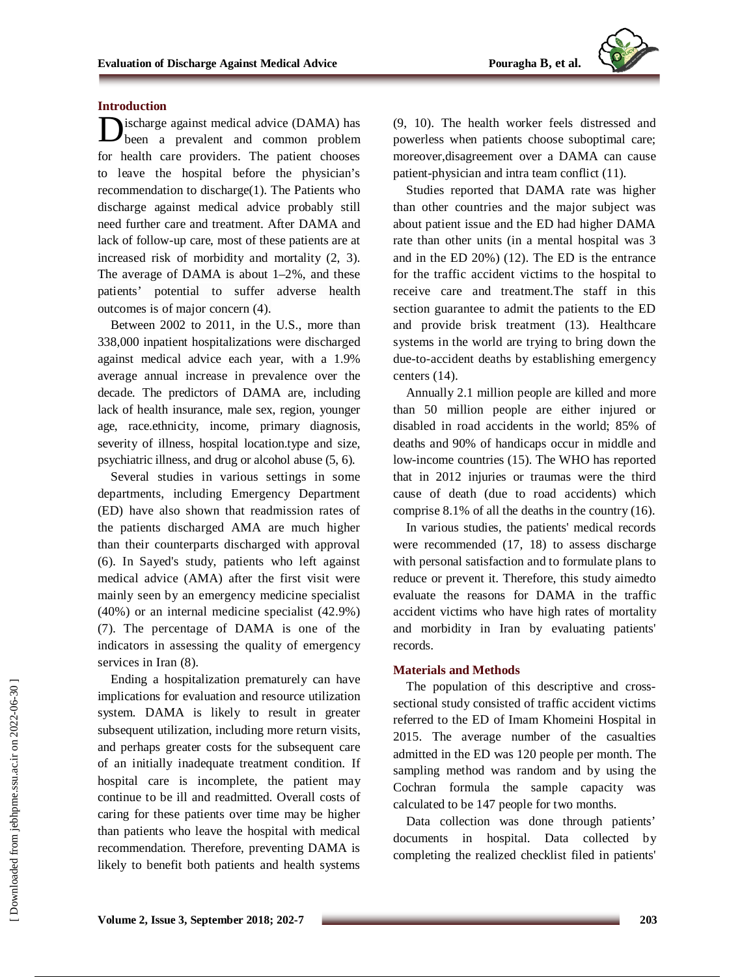ischarge against medical advice (DAMA) has been a prevalent and common problem for health care providers. The patient chooses to leave the hospital before the physician's recommendation to discharge(1). The Patients who discharge against medical advice probably still need further care and treatment. After DAMA and lack of follow-up care, most of these patients are at increased risk of morbidity and mortality (2, 3). The average of DAMA is about 1–2%, and these patients' potential to suffer adverse health outcomes is of major concern (4). D

Between 2002 to 2011, in the U.S., more than 338,000 inpatient hospitalizations were discharged against medical advice each year, with a 1.9% average annual increase in prevalence over the decade. The predictors of DAMA are, including lack of health insurance, male sex, region, younger age, race.ethnicity, income, primary diagnosis, severity of illness, hospital location.type and size, psychiatric illness, and drug or alcohol abuse (5, 6).

Several studies in various settings in some departments, including Emergency Department (ED) have also shown that readmission rates of the patients discharged AMA are much higher than their counterparts discharged with approval (6). In Sayed's study, patients who left against medical advice (AMA) after the first visit were mainly seen by an emergency medicine specialist (40%) or an internal medicine specialist (42.9%) (7). The percentage of DAMA is one of the indicators in assessing the quality of emergency services in Iran (8).

Ending a hospitalization prematurely can have implications for evaluation and resource utilization system. DAMA is likely to result in greater subsequent utilization, including more return visits, and perhaps greater costs for the subsequent care of an initially inadequate treatment condition. If hospital care is incomplete, the patient may continue to be ill and readmitted. Overall costs of caring for these patients over time may be higher than patients who leave the hospital with medical recommendation. Therefore, preventing DAMA is likely to benefit both patients and health systems (9, 10). The health worker feels distressed and powerless when patients choose suboptimal care; moreover,disagreement over a DAMA can cause patient-physician and intra team conflict (11).

Studies reported that DAMA rate was higher than other countries and the major subject was about patient issue and the ED had higher DAMA rate than other units (in a mental hospital was 3 and in the ED 20%) (12). The ED is the entrance for the traffic accident victims to the hospital to receive care and treatment.The staff in this section guarantee to admit the patients to the ED and provide brisk treatment (13). Healthcare systems in the world are trying to bring down the due-to-accident deaths by establishing emergency centers (14).

Annually 2.1 million people are killed and more than 50 million people are either injured or disabled in road accidents in the world; 85% of deaths and 90% of handicaps occur in middle and low-income countries (15). The WHO has reported that in 2012 injuries or traumas were the third cause of death (due to road accidents) which comprise 8.1% of all the deaths in the country (16).

In various studies, the patients' medical records were recommended (17, 18) to assess discharge with personal satisfaction and to formulate plans to reduce or prevent it. Therefore, this study aimedto evaluate the reasons for DAMA in the traffic accident victims who have high rates of mortality and morbidity in Iran by evaluating patients' records.

#### **Materials and Methods**

The population of this descriptive and crosssectional study consisted of traffic accident victims referred to the ED of Imam Khomeini Hospital in 2015. The average number of the casualties admitted in the ED was 120 people per month. The sampling method was random and by using the Cochran formula the sample capacity was calculated to be 147 people for two months.

Data collection was done through patients' documents in hospital. Data collected by completing the realized checklist filed in patients'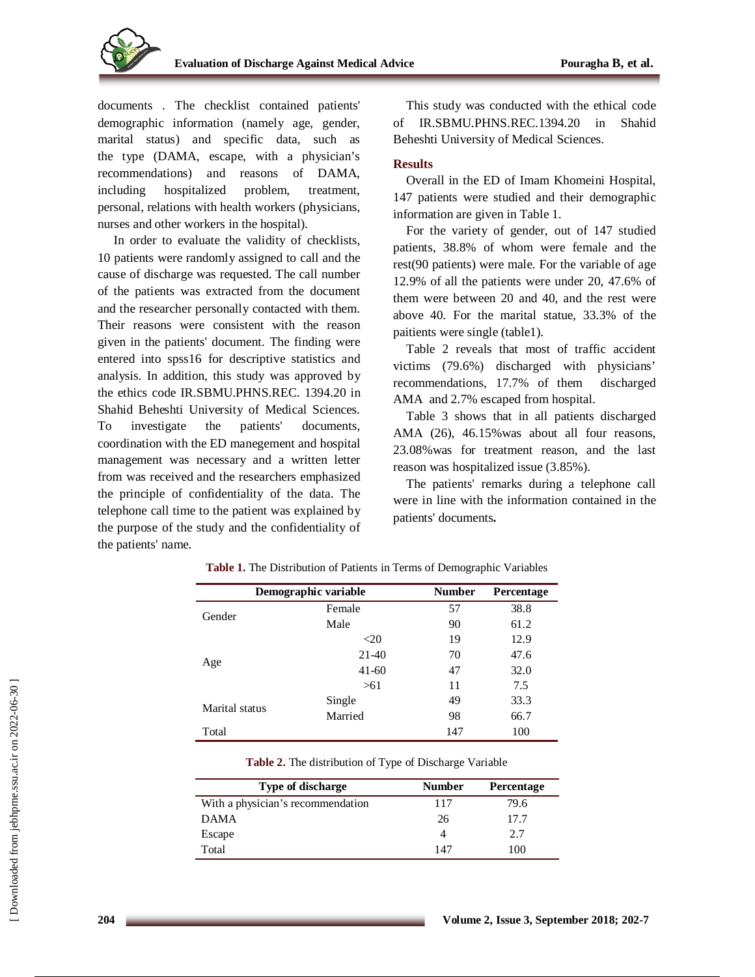

documents . The checklist contained patients' demographic information (namely age, gender, marital status) and specific data, such as the type (DAMA, escape, with a physician's recommendations) and reasons of DAMA, including hospitalized problem, treatment, personal, relations with health workers (physicians, nurses and other workers in the hospital).

In order to evaluate the validity of checklists, 10 patients were randomly assigned to call and the cause of discharge was requested. The call number of the patients was extracted from the document and the researcher personally contacted with them. Their reasons were consistent with the reason given in the patients' document. The finding were entered into spss16 for descriptive statistics and analysis. In addition, this study was approved by the ethics code IR.SBMU.PHNS.REC. 1394.20 in Shahid Beheshti University of Medical Sciences. To investigate the patients' documents, coordination with the ED manegement and hospital management was necessary and a written letter from was received and the researchers emphasized the principle of confidentiality of the data. The telephone call time to the patient was explained by the purpose of the study and the confidentiality of the patients' name.

This study was conducted with the ethical code of IR.SBMU.PHNS.REC.1394.20 in Shahid Beheshti University of Medical Sciences.

## **Results**

Overall in the ED of Imam Khomeini Hospital, 147 patients were studied and their demographic information are given in Table 1.

For the variety of gender, out of 147 studied patients, 38.8% of whom were female and the rest(90 patients) were male. For the variable of age 12.9% of all the patients were under 20, 47.6% of them were between 20 and 40, and the rest were above 40. For the marital statue, 33.3% of the paitients were single (table1).

Table 2 reveals that most of traffic accident victims (79.6%) discharged with physicians' recommendations, 17.7% of them discharged AMA and 2.7% escaped from hospital.

Table 3 shows that in all patients discharged AMA (26), 46.15%was about all four reasons, 23.08%was for treatment reason, and the last reason was hospitalized issue (3.85%).

The patients' remarks during a telephone call were in line with the information contained in the patients' documents**.**

| Demographic variable |           | <b>Number</b> | Percentage |
|----------------------|-----------|---------------|------------|
| Gender               | Female    | 57            | 38.8       |
|                      | Male      | 90            | 61.2       |
| Age                  | $<$ 20    | 19            | 12.9       |
|                      | 21-40     | 70            | 47.6       |
|                      | $41 - 60$ | 47            | 32.0       |
|                      | >61       | 11            | 7.5        |
| Marital status       | Single    | 49            | 33.3       |
|                      | Married   | 98            | 66.7       |
| Total                |           | 147           | 100        |

**Table 1.** The Distribution of Patients in Terms of Demographic Variables

**Table 2.** The distribution of Type of Discharge Variable

| <b>Type of discharge</b>          | <b>Number</b> | <b>Percentage</b> |
|-----------------------------------|---------------|-------------------|
| With a physician's recommendation | 117           | 79.6              |
| <b>DAMA</b>                       | 26            | 17.7              |
| Escape                            |               | 2.7               |
| Total                             | 147           | 100               |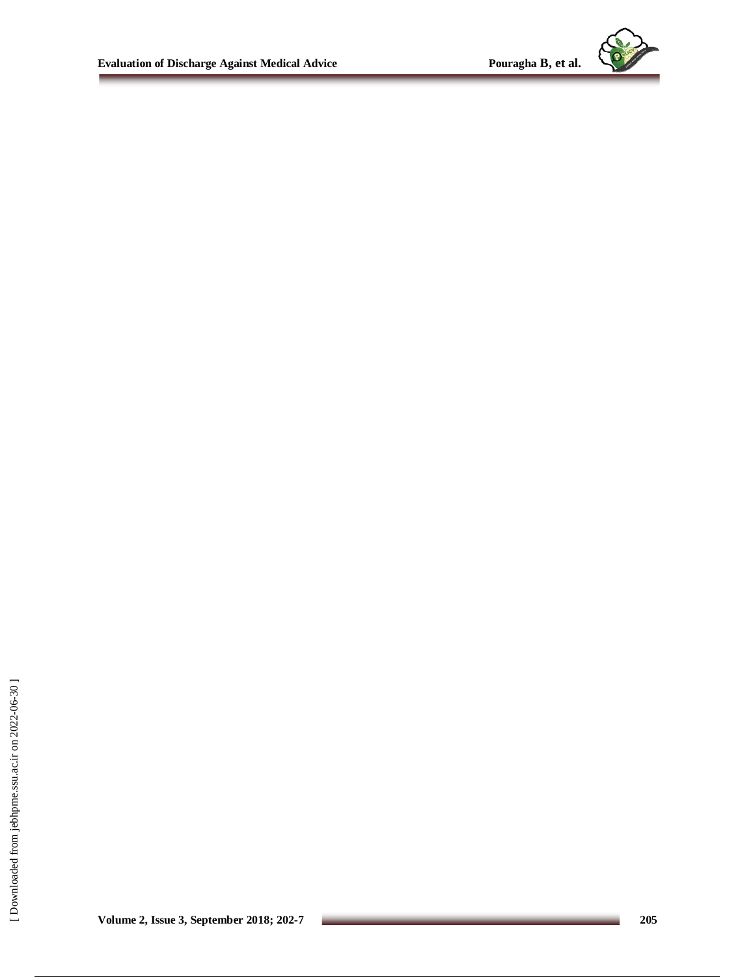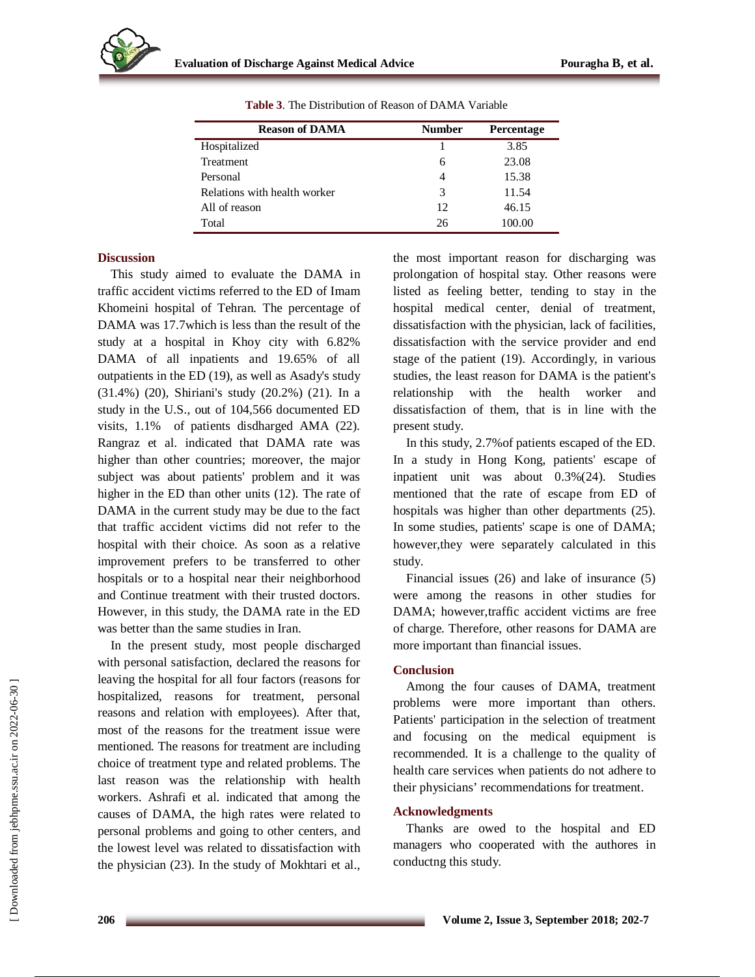| <b>Table 3.</b> The Distribution of Reason of DAMA Variable |               |            |  |
|-------------------------------------------------------------|---------------|------------|--|
| <b>Reason of DAMA</b>                                       | <b>Number</b> | Percentage |  |
| Hospitalized                                                |               | 3.85       |  |
| Treatment                                                   | 6             | 23.08      |  |
| Personal                                                    | 4             | 15.38      |  |
| Relations with health worker                                | 3             | 11.54      |  |
| All of reason                                               | 12            | 46.15      |  |
| Total                                                       | 26            | 100.00     |  |

## **Discussion**

This study aimed to evaluate the DAMA in traffic accident victims referred to the ED of Imam Khomeini hospital of Tehran. The percentage of DAMA was 17.7which is less than the result of the study at a hospital in Khoy city with 6.82% DAMA of all inpatients and 19.65% of all outpatients in the ED (19), as well as Asady's study (31.4%) (20), Shiriani's study (20.2%) (21). In a study in the U.S., out of 104,566 documented ED visits, 1.1% of patients disdharged AMA (22). Rangraz et al. indicated that DAMA rate was higher than other countries; moreover, the major subject was about patients' problem and it was higher in the ED than other units (12). The rate of DAMA in the current study may be due to the fact that traffic accident victims did not refer to the hospital with their choice. As soon as a relative improvement prefers to be transferred to other hospitals or to a hospital near their neighborhood and Continue treatment with their trusted doctors. However, in this study, the DAMA rate in the ED was better than the same studies in Iran.

In the present study, most people discharged with personal satisfaction, declared the reasons for leaving the hospital for all four factors (reasons for hospitalized, reasons for treatment, personal reasons and relation with employees). After that, most of the reasons for the treatment issue were mentioned. The reasons for treatment are including choice of treatment type and related problems. The last reason was the relationship with health workers. Ashrafi et al. indicated that among the causes of DAMA, the high rates were related to personal problems and going to other centers, and the lowest level was related to dissatisfaction with the physician (23). In the study of Mokhtari et al.,

the most important reason for discharging was prolongation of hospital stay. Other reasons were listed as feeling better, tending to stay in the hospital medical center, denial of treatment, dissatisfaction with the physician, lack of facilities, dissatisfaction with the service provider and end stage of the patient (19). Accordingly, in various studies, the least reason for DAMA is the patient's relationship with the health worker and dissatisfaction of them, that is in line with the present study.

In this study, 2.7%of patients escaped of the ED. In a study in Hong Kong, patients' escape of inpatient unit was about 0.3%(24). Studies mentioned that the rate of escape from ED of hospitals was higher than other departments (25). In some studies, patients' scape is one of DAMA; however,they were separately calculated in this study.

Financial issues (26) and lake of insurance (5) were among the reasons in other studies for DAMA; however,traffic accident victims are free of charge. Therefore, other reasons for DAMA are more important than financial issues.

## **Conclusion**

Among the four causes of DAMA, treatment problems were more important than others. Patients' participation in the selection of treatment and focusing on the medical equipment is recommended. It is a challenge to the quality of health care services when patients do not adhere to their physicians' recommendations for treatment.

## **Acknowledgments**

Thanks are owed to the hospital and ED managers who cooperated with the authores in conductng this study.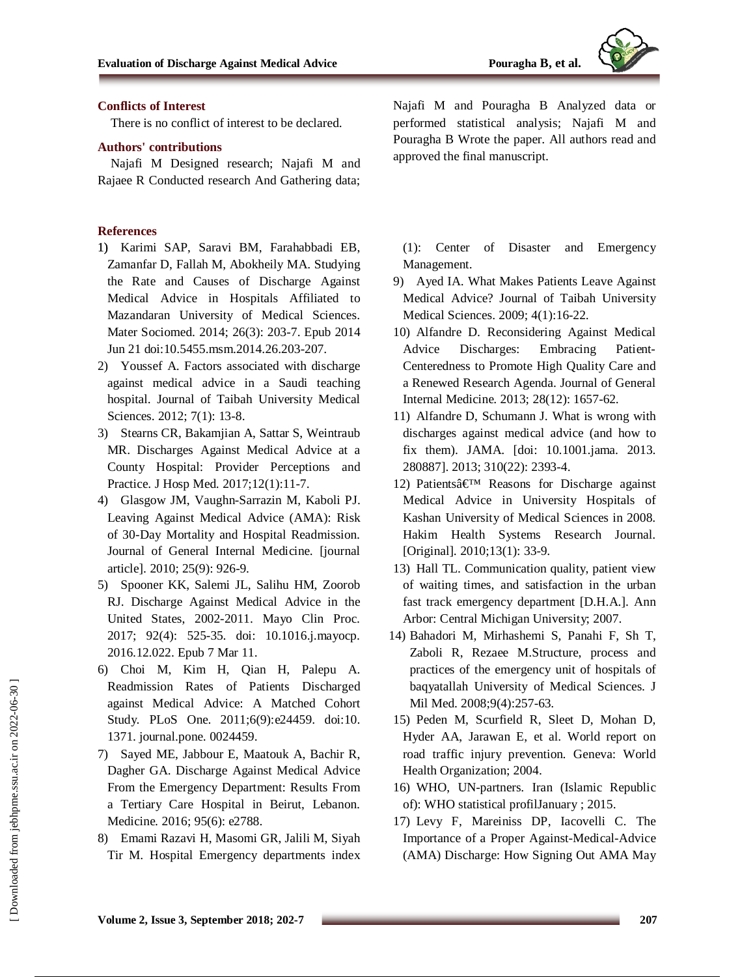

# **Conflicts of Interest**

There is no conflict of interest to be declared.

## **Authors' contributions**

Najafi M Designed research; Najafi M and Rajaee R Conducted research And Gathering data;

# **References**

- 1) Karimi SAP, Saravi BM, Farahabbadi EB, Zamanfar D, Fallah M, Abokheily MA. Studying the Rate and Causes of Discharge Against Medical Advice in Hospitals Affiliated to Mazandaran University of Medical Sciences. Mater Sociomed. 2014; 26(3): 203-7. Epub 2014 Jun 21 doi:10.5455.msm.2014.26.203-207.
- 2) Youssef A. Factors associated with discharge against medical advice in a Saudi teaching hospital. Journal of Taibah University Medical Sciences. 2012; 7(1): 13-8.
- 3) Stearns CR, Bakamjian A, Sattar S, Weintraub MR. Discharges Against Medical Advice at a County Hospital: Provider Perceptions and Practice. J Hosp Med. 2017;12(1):11-7.
- 4) Glasgow JM, Vaughn-Sarrazin M, Kaboli PJ. Leaving Against Medical Advice (AMA): Risk of 30-Day Mortality and Hospital Readmission. Journal of General Internal Medicine. [journal article]. 2010; 25(9): 926-9.
- 5) Spooner KK, Salemi JL, Salihu HM, Zoorob RJ. Discharge Against Medical Advice in the United States, 2002-2011. Mayo Clin Proc. 2017; 92(4): 525-35. doi: 10.1016.j.mayocp. 2016.12.022. Epub 7 Mar 11.
- 6) Choi M, Kim H, Qian H, Palepu A. Readmission Rates of Patients Discharged against Medical Advice: A Matched Cohort Study. PLoS One. 2011;6(9):e24459. doi:10. 1371. journal.pone. 0024459.
- 7) Sayed ME, Jabbour E, Maatouk A, Bachir R, Dagher GA. Discharge Against Medical Advice From the Emergency Department: Results From a Tertiary Care Hospital in Beirut, Lebanon. Medicine. 2016; 95(6): e2788.
- 8) Emami Razavi H, Masomi GR, Jalili M, Siyah Tir M. Hospital Emergency departments index

Najafi M and Pouragha B Analyzed data or performed statistical analysis; Najafi M and Pouragha B Wrote the paper. All authors read and approved the final manuscript.

(1): Center of Disaster and Emergency Management.

- 9) Ayed IA. What Makes Patients Leave Against Medical Advice? Journal of Taibah University Medical Sciences. 2009; 4(1):16-22.
- 10) Alfandre D. Reconsidering Against Medical Advice Discharges: Embracing Patient-Centeredness to Promote High Quality Care and a Renewed Research Agenda. Journal of General Internal Medicine. 2013; 28(12): 1657-62.
- 11) Alfandre D, Schumann J. What is wrong with discharges against medical advice (and how to fix them). JAMA. [doi: 10.1001.jama. 2013. 280887]. 2013; 310(22): 2393-4.
- 12) Patients $\hat{a} \in M$  Reasons for Discharge against Medical Advice in University Hospitals of Kashan University of Medical Sciences in 2008. Hakim Health Systems Research Journal. [Original]. 2010;13(1): 33-9.
- 13) Hall TL. Communication quality, patient view of waiting times, and satisfaction in the urban fast track emergency department [D.H.A.]. Ann Arbor: Central Michigan University; 2007.
- 14) Bahadori M, Mirhashemi S, Panahi F, Sh T, Zaboli R, Rezaee M.Structure, process and practices of the emergency unit of hospitals of baqyatallah University of Medical Sciences. J Mil Med. 2008;9(4):257-63.
- 15) Peden M, Scurfield R, Sleet D, Mohan D, Hyder AA, Jarawan E, et al. World report on road traffic injury prevention. Geneva: World Health Organization; 2004.
- 16) WHO, UN-partners. Iran (Islamic Republic of): WHO statistical profilJanuary ; 2015.
- 17) Levy F, Mareiniss DP, Iacovelli C. The Importance of a Proper Against-Medical-Advice (AMA) Discharge: How Signing Out AMA May